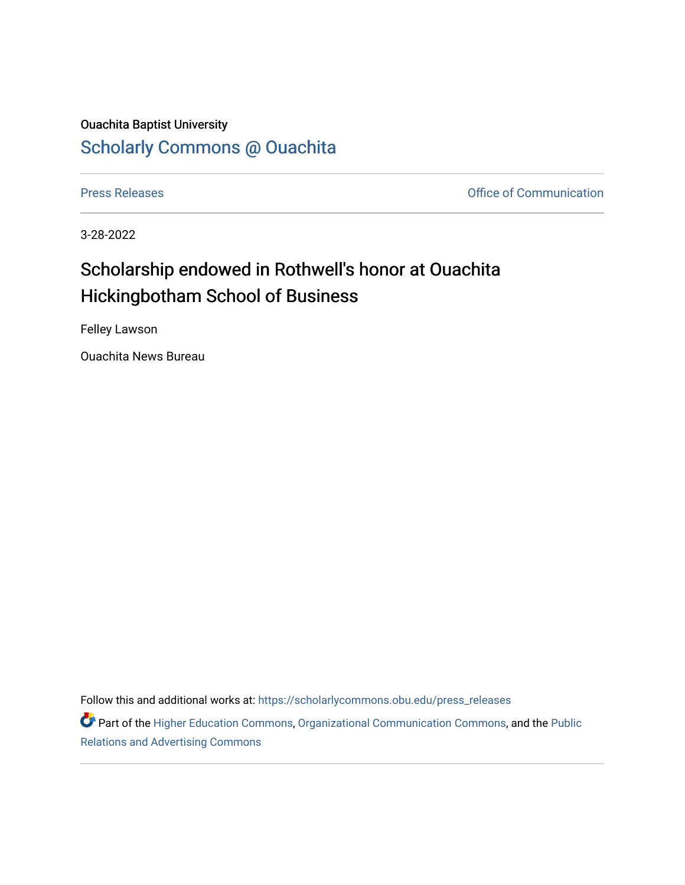## Ouachita Baptist University [Scholarly Commons @ Ouachita](https://scholarlycommons.obu.edu/)

[Press Releases](https://scholarlycommons.obu.edu/press_releases) **Press Releases Communication** 

3-28-2022

## Scholarship endowed in Rothwell's honor at Ouachita Hickingbotham School of Business

Felley Lawson

Ouachita News Bureau

Follow this and additional works at: [https://scholarlycommons.obu.edu/press\\_releases](https://scholarlycommons.obu.edu/press_releases?utm_source=scholarlycommons.obu.edu%2Fpress_releases%2F1073&utm_medium=PDF&utm_campaign=PDFCoverPages)

Part of the [Higher Education Commons,](http://network.bepress.com/hgg/discipline/1245?utm_source=scholarlycommons.obu.edu%2Fpress_releases%2F1073&utm_medium=PDF&utm_campaign=PDFCoverPages) [Organizational Communication Commons,](http://network.bepress.com/hgg/discipline/335?utm_source=scholarlycommons.obu.edu%2Fpress_releases%2F1073&utm_medium=PDF&utm_campaign=PDFCoverPages) and the [Public](http://network.bepress.com/hgg/discipline/336?utm_source=scholarlycommons.obu.edu%2Fpress_releases%2F1073&utm_medium=PDF&utm_campaign=PDFCoverPages) [Relations and Advertising Commons](http://network.bepress.com/hgg/discipline/336?utm_source=scholarlycommons.obu.edu%2Fpress_releases%2F1073&utm_medium=PDF&utm_campaign=PDFCoverPages)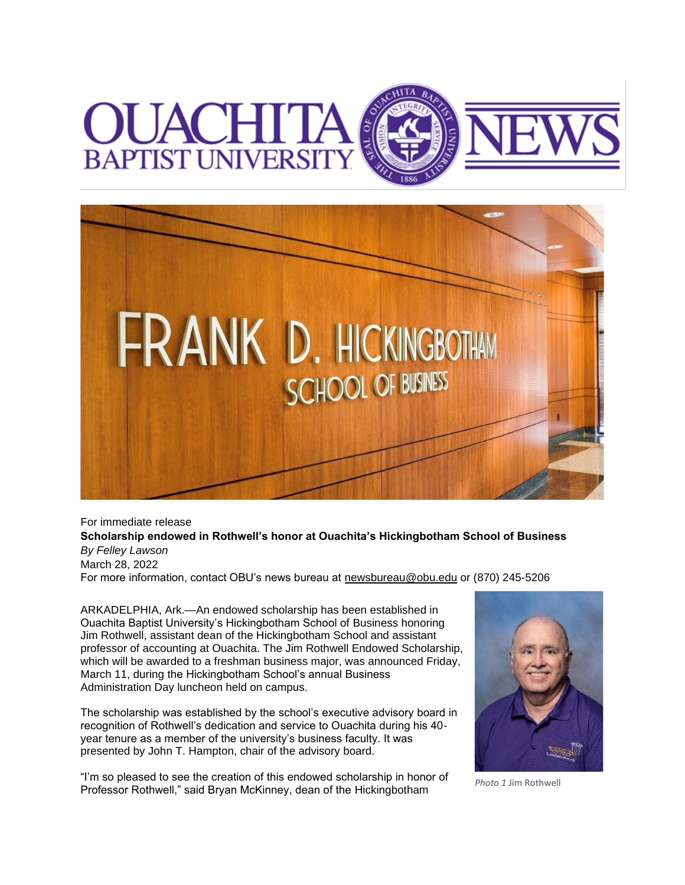



For immediate release **Scholarship endowed in Rothwell's honor at Ouachita's Hickingbotham School of Business** *By Felley Lawson* March 28, 2022 For more information, contact OBU's news bureau at [newsbureau@obu.edu](mailto:newsbureau@obu.edu) or (870) 245-5206

ARKADELPHIA, Ark.—An endowed scholarship has been established in Ouachita Baptist University's Hickingbotham School of Business honoring Jim Rothwell, assistant dean of the Hickingbotham School and assistant professor of accounting at Ouachita. The Jim Rothwell Endowed Scholarship, which will be awarded to a freshman business major, was announced Friday, March 11, during the Hickingbotham School's annual Business Administration Day luncheon held on campus.

The scholarship was established by the school's executive advisory board in recognition of Rothwell's dedication and service to Ouachita during his 40 year tenure as a member of the university's business faculty. It was presented by John T. Hampton, chair of the advisory board.

"I'm so pleased to see the creation of this endowed scholarship in honor of Professor Rothwell," said Bryan McKinney, dean of the Hickingbotham *Photo 1* Jim Rothwell